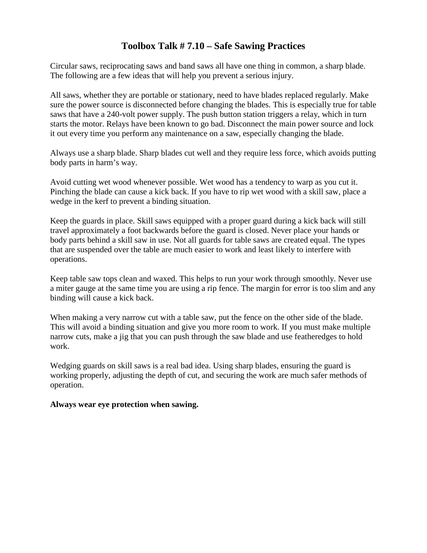## **Toolbox Talk # 7.10 – Safe Sawing Practices**

Circular saws, reciprocating saws and band saws all have one thing in common, a sharp blade. The following are a few ideas that will help you prevent a serious injury.

All saws, whether they are portable or stationary, need to have blades replaced regularly. Make sure the power source is disconnected before changing the blades. This is especially true for table saws that have a 240-volt power supply. The push button station triggers a relay, which in turn starts the motor. Relays have been known to go bad. Disconnect the main power source and lock it out every time you perform any maintenance on a saw, especially changing the blade.

Always use a sharp blade. Sharp blades cut well and they require less force, which avoids putting body parts in harm's way.

Avoid cutting wet wood whenever possible. Wet wood has a tendency to warp as you cut it. Pinching the blade can cause a kick back. If you have to rip wet wood with a skill saw, place a wedge in the kerf to prevent a binding situation.

Keep the guards in place. Skill saws equipped with a proper guard during a kick back will still travel approximately a foot backwards before the guard is closed. Never place your hands or body parts behind a skill saw in use. Not all guards for table saws are created equal. The types that are suspended over the table are much easier to work and least likely to interfere with operations.

Keep table saw tops clean and waxed. This helps to run your work through smoothly. Never use a miter gauge at the same time you are using a rip fence. The margin for error is too slim and any binding will cause a kick back.

When making a very narrow cut with a table saw, put the fence on the other side of the blade. This will avoid a binding situation and give you more room to work. If you must make multiple narrow cuts, make a jig that you can push through the saw blade and use featheredges to hold work.

Wedging guards on skill saws is a real bad idea. Using sharp blades, ensuring the guard is working properly, adjusting the depth of cut, and securing the work are much safer methods of operation.

## **Always wear eye protection when sawing.**